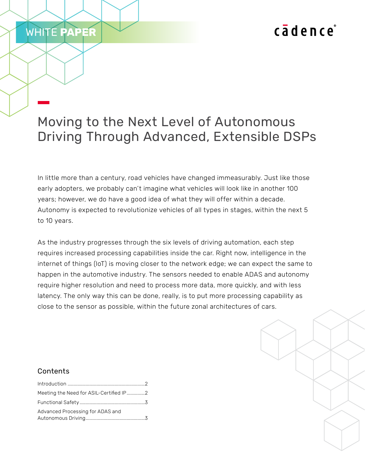# cadence

## Moving to the Next Level of Autonomous Driving Through Advanced, Extensible DSPs

In little more than a century, road vehicles have changed immeasurably. Just like those early adopters, we probably can't imagine what vehicles will look like in another 100 years; however, we do have a good idea of what they will offer within a decade. Autonomy is expected to revolutionize vehicles of all types in stages, within the next 5 to 10 years.

As the industry progresses through the six levels of driving automation, each step requires increased processing capabilities inside the car. Right now, intelligence in the internet of things (IoT) is moving closer to the network edge; we can expect the same to happen in the automotive industry. The sensors needed to enable ADAS and autonomy require higher resolution and need to process more data, more quickly, and with less latency. The only way this can be done, really, is to put more processing capability as close to the sensor as possible, within the future zonal architectures of cars.

### Contents

WHITE **PAPER**

| Meeting the Need for ASIL-Certified IP2 |  |
|-----------------------------------------|--|
|                                         |  |
| Advanced Processing for ADAS and        |  |
|                                         |  |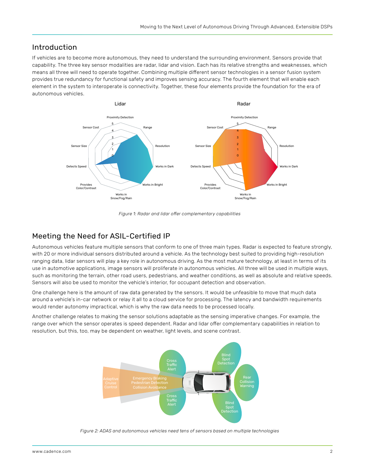## <span id="page-1-0"></span>Introduction

If vehicles are to become more autonomous, they need to understand the surrounding environment. Sensors provide that capability. The three key sensor modalities are radar, lidar and vision. Each has its relative strengths and weaknesses, which means all three will need to operate together. Combining multiple different sensor technologies in a sensor fusion system provides true redundancy for functional safety and improves sensing accuracy. The fourth element that will enable each element in the system to interoperate is connectivity. Together, these four elements provide the foundation for the era of autonomous vehicles.



*Figure 1: Radar and lidar offer complementary capabilities*

## Meeting the Need for ASIL-Certified IP

Autonomous vehicles feature multiple sensors that conform to one of three main types. Radar is expected to feature strongly, with 20 or more individual sensors distributed around a vehicle. As the technology best suited to providing high-resolution ranging data, lidar sensors will play a key role in autonomous driving. As the most mature technology, at least in terms of its use in automotive applications, image sensors will proliferate in autonomous vehicles. All three will be used in multiple ways, such as monitoring the terrain, other road users, pedestrians, and weather conditions, as well as absolute and relative speeds. Sensors will also be used to monitor the vehicle's interior, for occupant detection and observation.

One challenge here is the amount of raw data generated by the sensors. It would be unfeasible to move that much data around a vehicle's in-car network or relay it all to a cloud service for processing. The latency and bandwidth requirements would render autonomy impractical, which is why the raw data needs to be processed locally.

Another challenge relates to making the sensor solutions adaptable as the sensing imperative changes. For example, the range over which the sensor operates is speed dependent. Radar and lidar offer complementary capabilities in relation to resolution, but this, too, may be dependent on weather, light levels, and scene contrast.



*Figure 2: ADAS and autonomous vehicles need tens of sensors based on multiple technologies*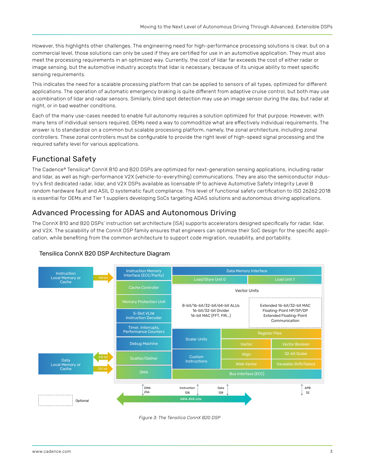<span id="page-2-0"></span>However, this highlights other challenges. The engineering need for high-performance processing solutions is clear, but on a commercial level, those solutions can only be used if they are certified for use in an automotive application. They must also meet the processing requirements in an optimized way. Currently, the cost of lidar far exceeds the cost of either radar or image sensing, but the automotive industry accepts that lidar is necessary, because of its unique ability to meet specific sensing requirements.

This indicates the need for a scalable processing platform that can be applied to sensors of all types, optimized for different applications. The operation of automatic emergency braking is quite different from adaptive cruise control, but both may use a combination of lidar and radar sensors. Similarly, blind spot detection may use an image sensor during the day, but radar at night, or in bad weather conditions.

Each of the many use-cases needed to enable full autonomy requires a solution optimized for that purpose. However, with many tens of individual sensors required, OEMs need a way to commoditize what are effectively individual requirements. The answer is to standardize on a common but scalable processing platform, namely, the zonal architecture, including zonal controllers. These zonal controllers must be configurable to provide the right level of high-speed signal processing and the required safety level for various applications.

## Functional Safety

The Cadence® Tensilica® ConnX B10 and B20 DSPs are optimized for next-generation sensing applications, including radar and lidar, as well as high-performance V2X (vehicle-to-everything) communications. They are also the semiconductor industry's first dedicated radar, lidar, and V2X DSPs available as licensable IP to achieve Automotive Safety Integrity Level B random hardware fault and ASIL D systematic fault compliance. This level of functional safety certification to ISO 26262:2018 is essential for OEMs and Tier 1 suppliers developing SoCs targeting ADAS solutions and autonomous driving applications.

## Advanced Processing for ADAS and Autonomous Driving

The ConnX B10 and B20 DSPs' instruction set architecture (ISA) supports accelerators designed specifically for radar, lidar, and V2X. The scalability of the ConnX DSP family ensures that engineers can optimize their SoC design for the specific application, while benefiting from the common architecture to support code migration, reusability, and portability.



#### Tensilica ConnX B20 DSP Architecture Diagram

*Figure 3: The Tensilica ConnX B20 DSP*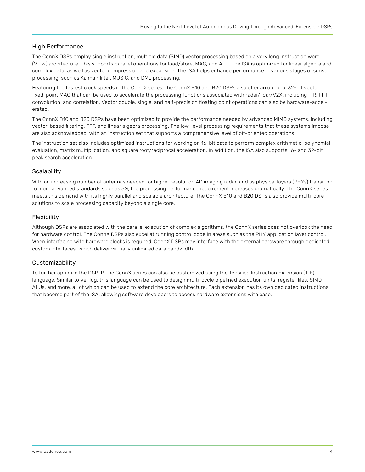#### High Performance

The ConnX DSPs employ single instruction, multiple data (SIMD) vector processing based on a very long instruction word (VLIW) architecture. This supports parallel operations for load/store, MAC, and ALU. The ISA is optimized for linear algebra and complex data, as well as vector compression and expansion. The ISA helps enhance performance in various stages of sensor processing, such as Kalman filter, MUSIC, and DML processing.

Featuring the fastest clock speeds in the ConnX series, the ConnX B10 and B20 DSPs also offer an optional 32-bit vector fixed-point MAC that can be used to accelerate the processing functions associated with radar/lidar/V2X, including FIR, FFT, convolution, and correlation. Vector double, single, and half-precision floating point operations can also be hardware-accelerated.

The ConnX B10 and B20 DSPs have been optimized to provide the performance needed by advanced MIMO systems, including vector-based filtering, FFT, and linear algebra processing. The low-level processing requirements that these systems impose are also acknowledged, with an instruction set that supports a comprehensive level of bit-oriented operations.

The instruction set also includes optimized instructions for working on 16-bit data to perform complex arithmetic, polynomial evaluation, matrix multiplication, and square root/reciprocal acceleration. In addition, the ISA also supports 16- and 32-bit peak search acceleration.

#### **Scalability**

With an increasing number of antennas needed for higher resolution 4D imaging radar, and as physical layers (PHYs) transition to more advanced standards such as 5G, the processing performance requirement increases dramatically. The ConnX series meets this demand with its highly parallel and scalable architecture. The ConnX B10 and B20 DSPs also provide multi-core solutions to scale processing capacity beyond a single core.

#### Flexibility

Although DSPs are associated with the parallel execution of complex algorithms, the ConnX series does not overlook the need for hardware control. The ConnX DSPs also excel at running control code in areas such as the PHY application layer control. When interfacing with hardware blocks is required, ConnX DSPs may interface with the external hardware through dedicated custom interfaces, which deliver virtually unlimited data bandwidth.

#### Customizability

To further optimize the DSP IP, the ConnX series can also be customized using the Tensilica Instruction Extension (TIE) language. Similar to Verilog, this language can be used to design multi-cycle pipelined execution units, register files, SIMD ALUs, and more, all of which can be used to extend the core architecture. Each extension has its own dedicated instructions that become part of the ISA, allowing software developers to access hardware extensions with ease.